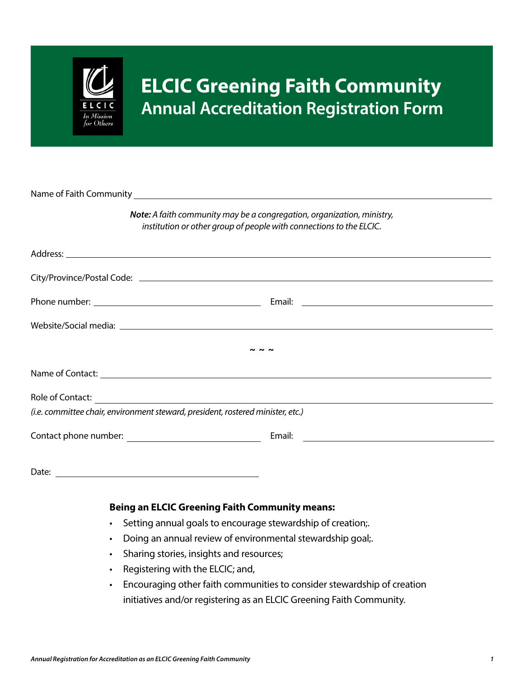

# **ELCIC Greening Faith Community Annual Accreditation Registration Form**

| Name of Faith Community and the control of the control of the control of the control of the control of the control of the control of the control of the control of the control of the control of the control of the control of |  |  |  |  |  |
|--------------------------------------------------------------------------------------------------------------------------------------------------------------------------------------------------------------------------------|--|--|--|--|--|
| Note: A faith community may be a congregation, organization, ministry,<br>institution or other group of people with connections to the ELCIC.                                                                                  |  |  |  |  |  |
|                                                                                                                                                                                                                                |  |  |  |  |  |
|                                                                                                                                                                                                                                |  |  |  |  |  |
|                                                                                                                                                                                                                                |  |  |  |  |  |
|                                                                                                                                                                                                                                |  |  |  |  |  |
|                                                                                                                                                                                                                                |  |  |  |  |  |
|                                                                                                                                                                                                                                |  |  |  |  |  |
|                                                                                                                                                                                                                                |  |  |  |  |  |
| (i.e. committee chair, environment steward, president, rostered minister, etc.)                                                                                                                                                |  |  |  |  |  |
|                                                                                                                                                                                                                                |  |  |  |  |  |
|                                                                                                                                                                                                                                |  |  |  |  |  |
|                                                                                                                                                                                                                                |  |  |  |  |  |
| <b>Being an ELCIC Greening Faith Community means:</b>                                                                                                                                                                          |  |  |  |  |  |
| Setting annual goals to encourage stewardship of creation;.                                                                                                                                                                    |  |  |  |  |  |
| Doing an annual review of environmental stewardship goal;.                                                                                                                                                                     |  |  |  |  |  |

- Sharing stories, insights and resources;
- Registering with the ELCIC; and,
- Encouraging other faith communities to consider stewardship of creation initiatives and/or registering as an ELCIC Greening Faith Community.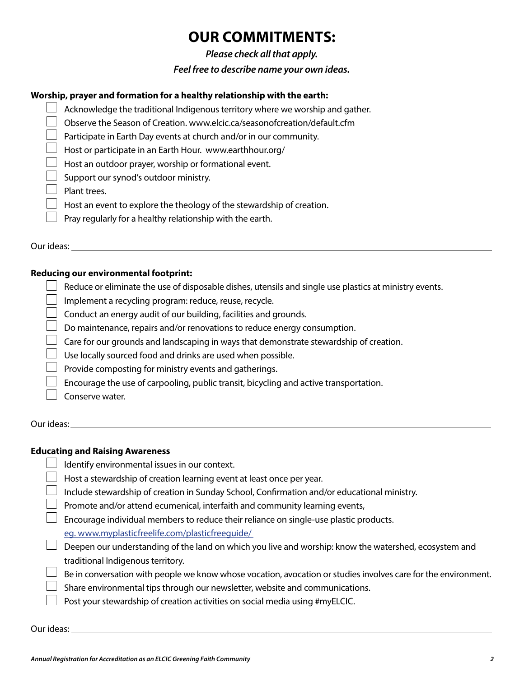## **OUR COMMITMENTS:**

#### *Please check all that apply.*

#### *Feel free to describe name your own ideas.*

#### **Worship, prayer and formation for a healthy relationship with the earth:**

- $\Box$  Acknowledge the traditional Indigenous territory where we worship and gather.
- Observe the Season of Creation. www.elcic.ca/seasonofcreation/default.cfm
- $\Box$  Participate in Earth Day events at church and/or in our community.
- $\Box$  Host or participate in an Earth Hour. www.earthhour.org/

 $\Box$  Host an outdoor prayer, worship or formational event.

 $\Box$  Support our synod's outdoor ministry.

 $\Box$  Plant trees.

- $\Box$  Host an event to explore the theology of the stewardship of creation.
	- Pray regularly for a healthy relationship with the earth.

Our ideas:

#### **Reducing our environmental footprint:**

- $\Box$  Reduce or eliminate the use of disposable dishes, utensils and single use plastics at ministry events.
- $\Box$  Implement a recycling program: reduce, reuse, recycle.
- $\Box$  Conduct an energy audit of our building, facilities and grounds.
- $\Box$  Do maintenance, repairs and/or renovations to reduce energy consumption.
- $\Box$  Care for our grounds and landscaping in ways that demonstrate stewardship of creation.
- $\Box$  Use locally sourced food and drinks are used when possible.
- $\Box$  Provide composting for ministry events and gatherings.
- $\Box$  Encourage the use of carpooling, public transit, bicycling and active transportation.
	- Conserve water.

Our ideas: <u>contract the contract of the contract of the contract of the contract of the contract of the contract of the contract of the contract of the contract of the contract of the contract of the contract of the contr</u>

#### **Educating and Raising Awareness**

|  | Identify environmental issues in our context.                                                                  |
|--|----------------------------------------------------------------------------------------------------------------|
|  | Host a stewardship of creation learning event at least once per year.                                          |
|  | Include stewardship of creation in Sunday School, Confirmation and/or educational ministry.                    |
|  | Promote and/or attend ecumenical, interfaith and community learning events,                                    |
|  | Encourage individual members to reduce their reliance on single-use plastic products.                          |
|  | eq. www.myplasticfreelife.com/plasticfreequide/                                                                |
|  | Deepen our understanding of the land on which you live and worship: know the watershed, ecosystem and          |
|  | traditional Indigenous territory.                                                                              |
|  | Be in conversation with people we know whose vocation, avocation or studies involves care for the environment. |
|  | Share environmental tips through our newsletter, website and communications.                                   |
|  | Post your stewardship of creation activities on social media using #myELCIC.                                   |
|  |                                                                                                                |

Our ideas: